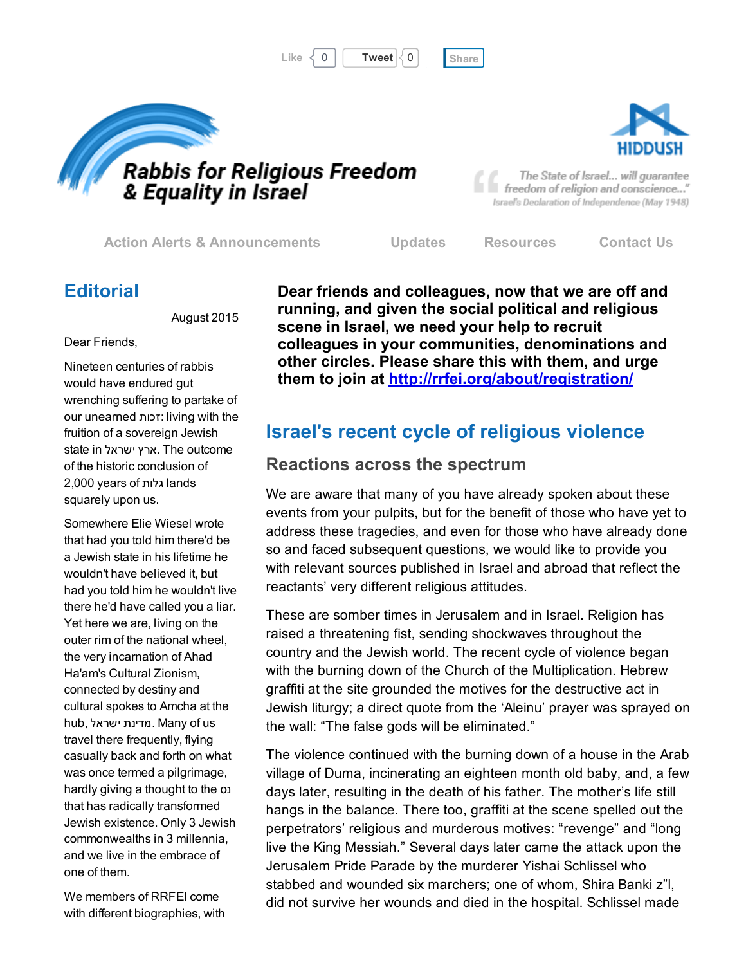





The State of Israel... will guarantee freedom of religion and conscience..." Israel's Declaration of Independence (May 1948)

Action Alerts & [Announcements](http://cts.vresp.com/c/?FreedomofReligionfor/5d1684d6e3/325ceb4427/06abf2d169) [Updates](http://cts.vresp.com/c/?FreedomofReligionfor/5d1684d6e3/325ceb4427/1bfce761ae) [Resources](http://cts.vresp.com/c/?FreedomofReligionfor/5d1684d6e3/325ceb4427/06fd9e573e) [Contact](http://cts.vresp.com/c/?FreedomofReligionfor/5d1684d6e3/325ceb4427/82a264dfee) Us

## **Editorial**

August 2015

### Dear Friends,

Nineteen centuries of rabbis would have endured gut wrenching suffering to partake of our unearned זכות: living with the fruition of a sovereign Jewish state in ישראל ארץ. The outcome of the historic conclusion of 2,000 years of גלות lands squarely upon us.

Somewhere Elie Wiesel wrote that had you told him there'd be a Jewish state in his lifetime he wouldn't have believed it, but had you told him he wouldn't live there he'd have called you a liar. Yet here we are, living on the outer rim of the national wheel, the very incarnation of Ahad Ha'am's Cultural Zionism, connected by destiny and cultural spokes to Amcha at the hub, ישראל מדינת. Many of us travel there frequently, flying casually back and forth on what was once termed a pilgrimage, hardly giving a thought to the נס that has radically transformed Jewish existence. Only 3 Jewish commonwealths in 3 millennia, and we live in the embrace of one of them.

We members of RRFEI come with different biographies, with Dear friends and colleagues, now that we are off and running, and given the social political and religious scene in Israel, we need your help to recruit colleagues in your communities, denominations and other circles. Please share this with them, and urge them to join at [http://rrfei.org/about/registration/](http://cts.vresp.com/c/?FreedomofReligionfor/5d1684d6e3/325ceb4427/d07914ca13)

# Israel's recent cycle of religious violence

## Reactions across the spectrum

We are aware that many of you have already spoken about these events from your pulpits, but for the benefit of those who have yet to address these tragedies, and even for those who have already done so and faced subsequent questions, we would like to provide you with relevant sources published in Israel and abroad that reflect the reactants' very different religious attitudes.

These are somber times in Jerusalem and in Israel. Religion has raised a threatening fist, sending shockwaves throughout the country and the Jewish world. The recent cycle of violence began with the burning down of the Church of the Multiplication. Hebrew graffiti at the site grounded the motives for the destructive act in Jewish liturgy; a direct quote from the 'Aleinu' prayer was sprayed on the wall: "The false gods will be eliminated."

The violence continued with the burning down of a house in the Arab village of Duma, incinerating an eighteen month old baby, and, a few days later, resulting in the death of his father. The mother's life still hangs in the balance. There too, graffiti at the scene spelled out the perpetrators' religious and murderous motives: "revenge" and "long live the King Messiah." Several days later came the attack upon the Jerusalem Pride Parade by the murderer Yishai Schlissel who stabbed and wounded six marchers; one of whom, Shira Banki z"l, did not survive her wounds and died in the hospital. Schlissel made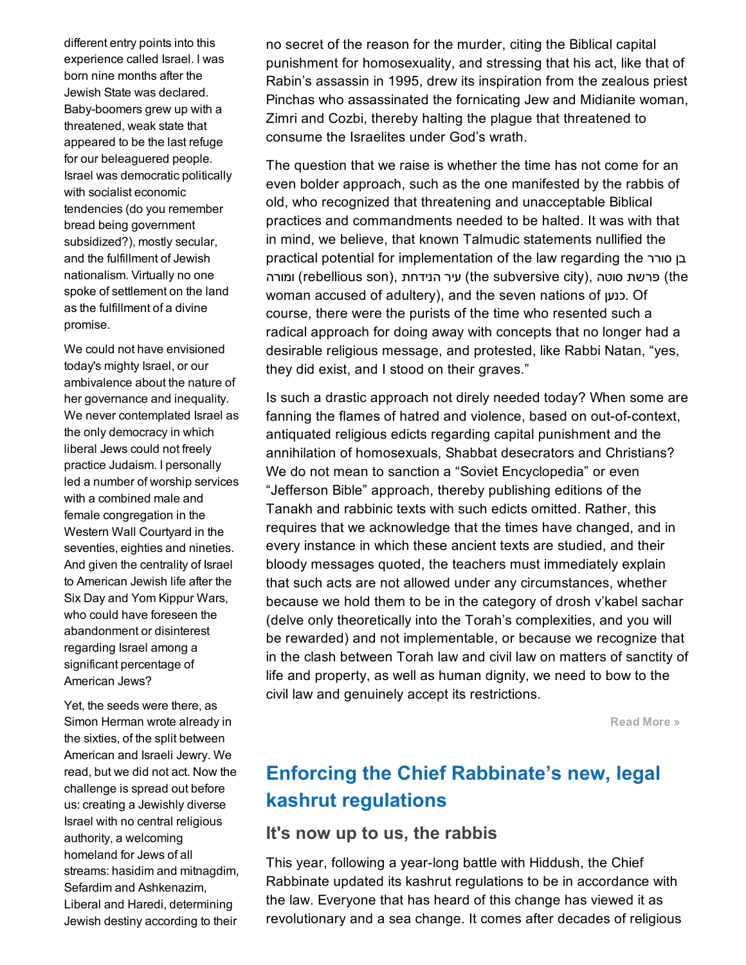different entry points into this experience called Israel. I was born nine months after the Jewish State was declared. Baby-boomers grew up with a threatened, weak state that appeared to be the last refuge for our beleaguered people. Israel was democratic politically with socialist economic tendencies (do you remember bread being government subsidized?), mostly secular, and the fulfillment of Jewish nationalism. Virtually no one spoke of settlement on the land as the fulfillment of a divine promise.

We could not have envisioned today's mighty Israel, or our ambivalence about the nature of her governance and inequality. We never contemplated Israel as the only democracy in which liberal Jews could not freely practice Judaism. I personally led a number of worship services with a combined male and female congregation in the Western Wall Courtyard in the seventies, eighties and nineties. And given the centrality of Israel to American Jewish life after the Six Day and Yom Kippur Wars, who could have foreseen the abandonment or disinterest regarding Israel among a significant percentage of American Jews?

Yet, the seeds were there, as Simon Herman wrote already in the sixties, of the split between American and Israeli Jewry. We read, but we did not act. Now the challenge is spread out before us: creating a Jewishly diverse Israel with no central religious authority, a welcoming homeland for Jews of all streams: hasidim and mitnagdim, Sefardim and Ashkenazim, Liberal and Haredi, determining Jewish destiny according to their

no secret of the reason for the murder, citing the Biblical capital punishment for homosexuality, and stressing that his act, like that of Rabin's assassin in 1995, drew its inspiration from the zealous priest Pinchas who assassinated the fornicating Jew and Midianite woman, Zimri and Cozbi, thereby halting the plague that threatened to consume the Israelites under God's wrath.

The question that we raise is whether the time has not come for an even bolder approach, such as the one manifested by the rabbis of old, who recognized that threatening and unacceptable Biblical practices and commandments needed to be halted. It was with that in mind, we believe, that known Talmudic statements nullified the practical potential for implementation of the law regarding the סורר בן ומורה (rebellious son), הנידחת) (the subversive city), ומורה (rebellious son), פרשת woman accused of adultery), and the seven nations of כנען. Of course, there were the purists of the time who resented such a radical approach for doing away with concepts that no longer had a desirable religious message, and protested, like Rabbi Natan, "yes, they did exist, and I stood on their graves."

Is such a drastic approach not direly needed today? When some are fanning the flames of hatred and violence, based on out-of-context, antiquated religious edicts regarding capital punishment and the annihilation of homosexuals, Shabbat desecrators and Christians? We do not mean to sanction a "Soviet Encyclopedia" or even "Jefferson Bible" approach, thereby publishing editions of the Tanakh and rabbinic texts with such edicts omitted. Rather, this requires that we acknowledge that the times have changed, and in every instance in which these ancient texts are studied, and their bloody messages quoted, the teachers must immediately explain that such acts are not allowed under any circumstances, whether because we hold them to be in the category of drosh v'kabel sachar (delve only theoretically into the Torah's complexities, and you will be rewarded) and not implementable, or because we recognize that in the clash between Torah law and civil law on matters of sanctity of life and property, as well as human dignity, we need to bow to the civil law and genuinely accept its restrictions.

[Read](http://cts.vresp.com/c/?FreedomofReligionfor/5d1684d6e3/325ceb4427/d0ce405f62) More »

# Enforcing the Chief Rabbinate's new, legal kashrut regulations

### It's now up to us, the rabbis

This year, following a year-long battle with Hiddush, the Chief Rabbinate updated its kashrut regulations to be in accordance with the law. Everyone that has heard of this change has viewed it as revolutionary and a sea change. It comes after decades of religious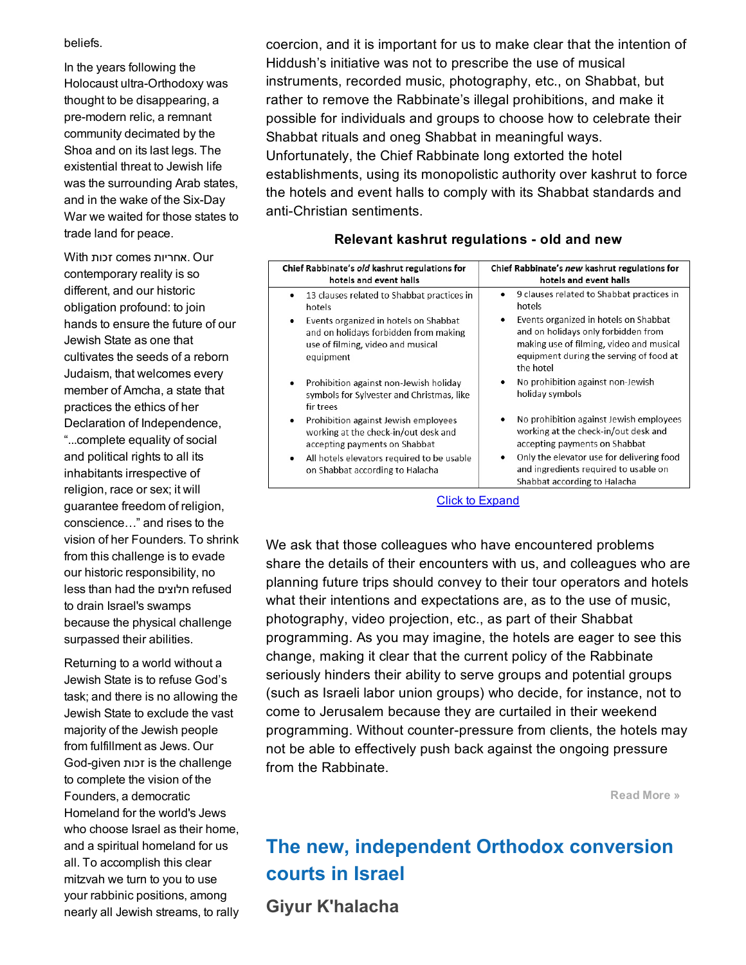### beliefs.

In the years following the Holocaust ultra-Orthodoxy was thought to be disappearing, a pre-modern relic, a remnant community decimated by the Shoa and on its last legs. The existential threat to Jewish life was the surrounding Arab states, and in the wake of the Six-Day War we waited for those states to trade land for peace.

With זכות comes אחריות. Our contemporary reality is so different, and our historic obligation profound: to join hands to ensure the future of our Jewish State as one that cultivates the seeds of a reborn Judaism, that welcomes every member of Amcha, a state that practices the ethics of her Declaration of Independence, "...complete equality of social and political rights to all its inhabitants irrespective of religion, race or sex; it will guarantee freedom of religion, conscience…" and rises to the vision of her Founders. To shrink from this challenge is to evade our historic responsibility, no less than had the חלוצים refused to drain Israel's swamps because the physical challenge surpassed their abilities.

Returning to a world without a Jewish State is to refuse God's task; and there is no allowing the Jewish State to exclude the vast majority of the Jewish people from fulfillment as Jews. Our Godgiven זכות is the challenge to complete the vision of the Founders, a democratic Homeland for the world's Jews who choose Israel as their home, and a spiritual homeland for us all. To accomplish this clear mitzvah we turn to you to use your rabbinic positions, among nearly all Jewish streams, to rally

coercion, and it is important for us to make clear that the intention of Hiddush's initiative was not to prescribe the use of musical instruments, recorded music, photography, etc., on Shabbat, but rather to remove the Rabbinate's illegal prohibitions, and make it possible for individuals and groups to choose how to celebrate their Shabbat rituals and oneg Shabbat in meaningful ways. Unfortunately, the Chief Rabbinate long extorted the hotel establishments, using its monopolistic authority over kashrut to force the hotels and event halls to comply with its Shabbat standards and anti-Christian sentiments.

### Relevant kashrut regulations - old and new

| Chief Rabbinate's old kashrut regulations for<br>hotels and event halls                                                               | Chief Rabbinate's new kashrut regulations for<br>hotels and event halls                                                                                                               |
|---------------------------------------------------------------------------------------------------------------------------------------|---------------------------------------------------------------------------------------------------------------------------------------------------------------------------------------|
| 13 clauses related to Shabbat practices in<br>hotels                                                                                  | 9 clauses related to Shabbat practices in<br>$\bullet$<br>hotels                                                                                                                      |
| Events organized in hotels on Shabbat<br>٠<br>and on holidays forbidden from making<br>use of filming, video and musical<br>equipment | Events organized in hotels on Shabbat<br>٠<br>and on holidays only forbidden from<br>making use of filming, video and musical<br>equipment during the serving of food at<br>the hotel |
| Prohibition against non-Jewish holiday<br>symbols for Sylvester and Christmas, like<br>fir trees                                      | No prohibition against non-Jewish<br>holiday symbols                                                                                                                                  |
| Prohibition against Jewish employees<br>٠<br>working at the check-in/out desk and<br>accepting payments on Shabbat                    | No prohibition against Jewish employees<br>٠<br>working at the check-in/out desk and<br>accepting payments on Shabbat                                                                 |
| All hotels elevators required to be usable<br>٠<br>on Shabbat according to Halacha                                                    | Only the elevator use for delivering food<br>٠<br>and ingredients required to usable on<br>Shabbat according to Halacha                                                               |

Click to [Expand](http://cts.vresp.com/c/?FreedomofReligionfor/5d1684d6e3/325ceb4427/0657f9bda5)

We ask that those colleagues who have encountered problems share the details of their encounters with us, and colleagues who are planning future trips should convey to their tour operators and hotels what their intentions and expectations are, as to the use of music, photography, video projection, etc., as part of their Shabbat programming. As you may imagine, the hotels are eager to see this change, making it clear that the current policy of the Rabbinate seriously hinders their ability to serve groups and potential groups (such as Israeli labor union groups) who decide, for instance, not to come to Jerusalem because they are curtailed in their weekend programming. Without counter-pressure from clients, the hotels may not be able to effectively push back against the ongoing pressure from the Rabbinate.

[Read](http://cts.vresp.com/c/?FreedomofReligionfor/5d1684d6e3/325ceb4427/9a7a061db7) More »

# The new, independent Orthodox conversion courts in Israel

Giyur K'halacha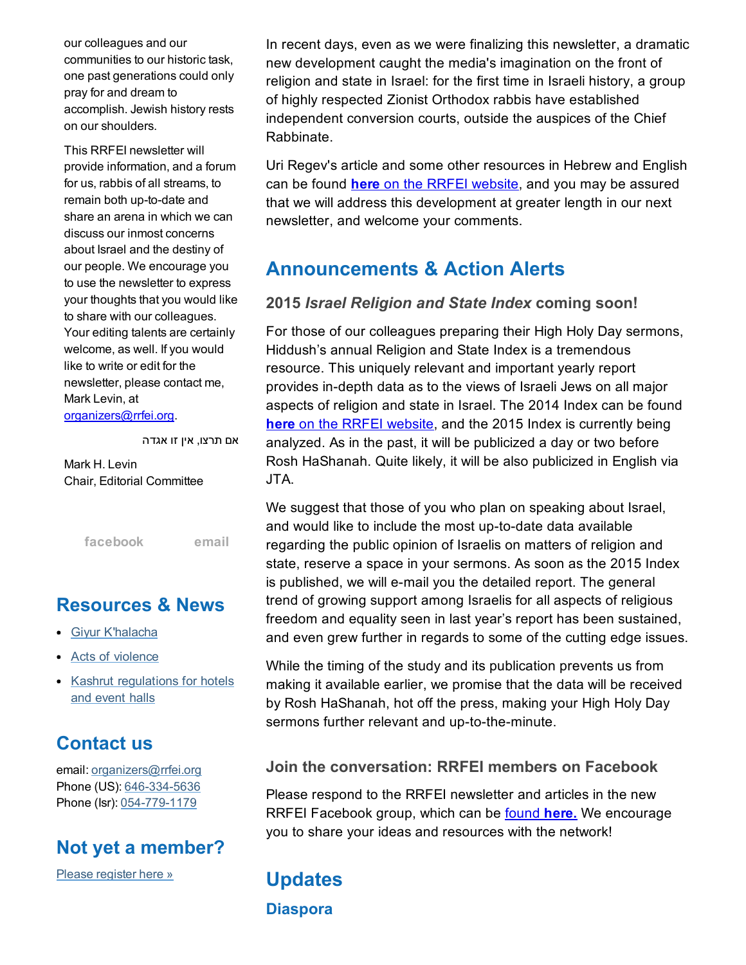our colleagues and our communities to our historic task, one past generations could only pray for and dream to accomplish. Jewish history rests on our shoulders.

This RRFEI newsletter will provide information, and a forum for us, rabbis of all streams, to remain both up-to-date and share an arena in which we can discuss our inmost concerns about Israel and the destiny of our people. We encourage you to use the newsletter to express your thoughts that you would like to share with our colleagues. Your editing talents are certainly welcome, as well. If you would like to write or edit for the newsletter, please contact me, Mark Levin, at

[organizers@rrfei.org.](mailto:organizers@rrfei.org)

אם תרצו, אין זו אגדה

Mark H. Levin Chair, Editorial Committee

[facebook](http://cts.vresp.com/c/?FreedomofReligionfor/5d1684d6e3/325ceb4427/25f64910ac) [email](mailto:organizers@rrfei.org)

## Resources & News

- Giyur [K'halacha](http://cts.vresp.com/c/?FreedomofReligionfor/5d1684d6e3/325ceb4427/273e9f6812)
- Acts of [violence](http://cts.vresp.com/c/?FreedomofReligionfor/5d1684d6e3/325ceb4427/c171817a00)
- Kashrut [regulations](http://cts.vresp.com/c/?FreedomofReligionfor/5d1684d6e3/325ceb4427/6bd64ddc7b) for hotels and event halls

# Contact us

email: [organizers@rrfei.org](mailto:organizers@rrfei.org) Phone (US): 646-334-5636 Phone (Isr): 054-779-1179

## Not yet a member?

Please [register](http://cts.vresp.com/c/?FreedomofReligionfor/5d1684d6e3/325ceb4427/cc58d7a3c8) here »

In recent days, even as we were finalizing this newsletter, a dramatic new development caught the media's imagination on the front of religion and state in Israel: for the first time in Israeli history, a group of highly respected Zionist Orthodox rabbis have established independent conversion courts, outside the auspices of the Chief Rabbinate.

Uri Regev's article and some other resources in Hebrew and English can be found here on the RRFEI [website,](http://cts.vresp.com/c/?FreedomofReligionfor/5d1684d6e3/325ceb4427/a336e421fa) and you may be assured that we will address this development at greater length in our next newsletter, and welcome your comments.

# Announcements & Action Alerts

## 2015 *Israel Religion and State Index* coming soon!

For those of our colleagues preparing their High Holy Day sermons, Hiddush's annual Religion and State Index is a tremendous resource. This uniquely relevant and important yearly report provides in-depth data as to the views of Israeli Jews on all major aspects of religion and state in Israel. The 2014 Index can be found here on the RRFEI [website,](http://cts.vresp.com/c/?FreedomofReligionfor/5d1684d6e3/325ceb4427/030f1b8a8c) and the 2015 Index is currently being analyzed. As in the past, it will be publicized a day or two before Rosh HaShanah. Quite likely, it will be also publicized in English via JTA.

We suggest that those of you who plan on speaking about Israel, and would like to include the most up-to-date data available regarding the public opinion of Israelis on matters of religion and state, reserve a space in your sermons. As soon as the 2015 Index is published, we will e-mail you the detailed report. The general trend of growing support among Israelis for all aspects of religious freedom and equality seen in last year's report has been sustained, and even grew further in regards to some of the cutting edge issues.

While the timing of the study and its publication prevents us from making it available earlier, we promise that the data will be received by Rosh HaShanah, hot off the press, making your High Holy Day sermons further relevant and up-to-the-minute.

### Join the conversation: RRFEI members on Facebook

Please respond to the RRFEI newsletter and articles in the new RRFEI Facebook group, which can be [found](http://cts.vresp.com/c/?FreedomofReligionfor/5d1684d6e3/325ceb4427/e3c200c42d) here. We encourage you to share your ideas and resources with the network!

# **Updates Diaspora**